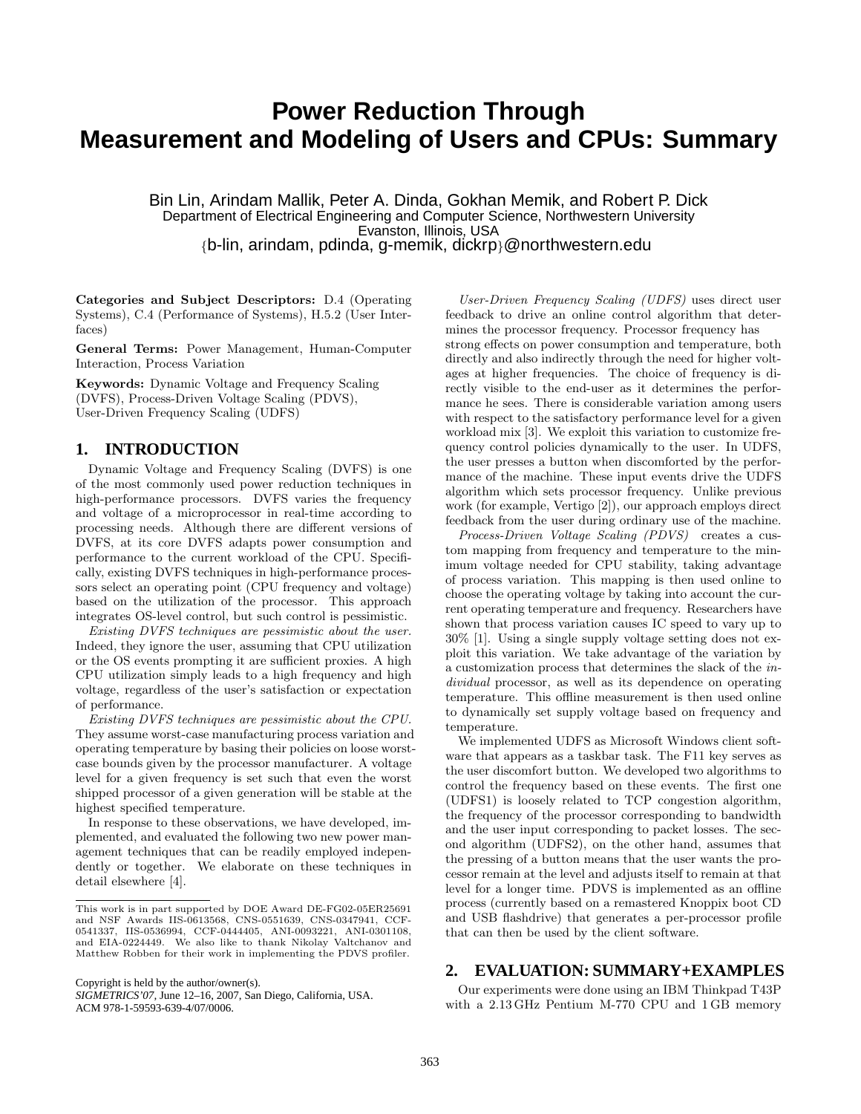# **Power Reduction Through Measurement and Modeling of Users and CPUs: Summary**

Bin Lin, Arindam Mallik, Peter A. Dinda, Gokhan Memik, and Robert P. Dick Department of Electrical Engineering and Computer Science, Northwestern University Evanston, Illinois, USA {b-lin, arindam, pdinda, g-memik, dickrp}@northwestern.edu

Categories and Subject Descriptors: D.4 (Operating Systems), C.4 (Performance of Systems), H.5.2 (User Interfaces)

General Terms: Power Management, Human-Computer Interaction, Process Variation

Keywords: Dynamic Voltage and Frequency Scaling (DVFS), Process-Driven Voltage Scaling (PDVS), User-Driven Frequency Scaling (UDFS)

### **1. INTRODUCTION**

Dynamic Voltage and Frequency Scaling (DVFS) is one of the most commonly used power reduction techniques in high-performance processors. DVFS varies the frequency and voltage of a microprocessor in real-time according to processing needs. Although there are different versions of DVFS, at its core DVFS adapts power consumption and performance to the current workload of the CPU. Specifically, existing DVFS techniques in high-performance processors select an operating point (CPU frequency and voltage) based on the utilization of the processor. This approach integrates OS-level control, but such control is pessimistic.

Existing DVFS techniques are pessimistic about the user. Indeed, they ignore the user, assuming that CPU utilization or the OS events prompting it are sufficient proxies. A high CPU utilization simply leads to a high frequency and high voltage, regardless of the user's satisfaction or expectation of performance.

Existing DVFS techniques are pessimistic about the CPU. They assume worst-case manufacturing process variation and operating temperature by basing their policies on loose worstcase bounds given by the processor manufacturer. A voltage level for a given frequency is set such that even the worst shipped processor of a given generation will be stable at the highest specified temperature.

In response to these observations, we have developed, implemented, and evaluated the following two new power management techniques that can be readily employed independently or together. We elaborate on these techniques in detail elsewhere [4].

Copyright is held by the author/owner(s).

User-Driven Frequency Scaling (UDFS) uses direct user feedback to drive an online control algorithm that determines the processor frequency. Processor frequency has strong effects on power consumption and temperature, both directly and also indirectly through the need for higher voltages at higher frequencies. The choice of frequency is directly visible to the end-user as it determines the performance he sees. There is considerable variation among users with respect to the satisfactory performance level for a given workload mix [3]. We exploit this variation to customize frequency control policies dynamically to the user. In UDFS, the user presses a button when discomforted by the performance of the machine. These input events drive the UDFS algorithm which sets processor frequency. Unlike previous work (for example, Vertigo [2]), our approach employs direct feedback from the user during ordinary use of the machine.

Process-Driven Voltage Scaling (PDVS) creates a custom mapping from frequency and temperature to the minimum voltage needed for CPU stability, taking advantage of process variation. This mapping is then used online to choose the operating voltage by taking into account the current operating temperature and frequency. Researchers have shown that process variation causes IC speed to vary up to 30% [1]. Using a single supply voltage setting does not exploit this variation. We take advantage of the variation by a customization process that determines the slack of the individual processor, as well as its dependence on operating temperature. This offline measurement is then used online to dynamically set supply voltage based on frequency and temperature.

We implemented UDFS as Microsoft Windows client software that appears as a taskbar task. The F11 key serves as the user discomfort button. We developed two algorithms to control the frequency based on these events. The first one (UDFS1) is loosely related to TCP congestion algorithm, the frequency of the processor corresponding to bandwidth and the user input corresponding to packet losses. The second algorithm (UDFS2), on the other hand, assumes that the pressing of a button means that the user wants the processor remain at the level and adjusts itself to remain at that level for a longer time. PDVS is implemented as an offline process (currently based on a remastered Knoppix boot CD and USB flashdrive) that generates a per-processor profile that can then be used by the client software.

#### **2. EVALUATION: SUMMARY+EXAMPLES**

Our experiments were done using an IBM Thinkpad T43P with a 2.13 GHz Pentium M-770 CPU and 1 GB memory

This work is in part supported by DOE Award DE-FG02-05ER25691 and NSF Awards IIS-0613568, CNS-0551639, CNS-0347941, CCF-0541337, IIS-0536994, CCF-0444405, ANI-0093221, ANI-0301108, and EIA-0224449. We also like to thank Nikolay Valtchanov and Matthew Robben for their work in implementing the PDVS profiler.

*SIGMETRICS'07,* June 12–16, 2007, San Diego, California, USA. ACM 978-1-59593-639-4/07/0006.